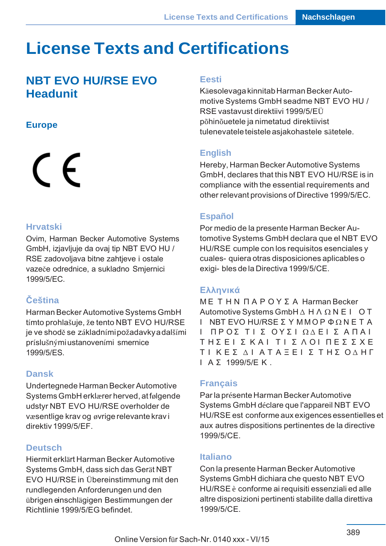# **License Texts and Certifications**

# **NBT EVO HU/RSE EVO Headunit**

# **Europe**

# $\epsilon$

#### **Hrvatski**

Ovim, Harman Becker Automotive Systems GmbH, izjavljuje da ovaj tip NBT EVO HU / RSE zadovoljava bitne zahtjeve i ostale vazeče odrednice, a sukladno Smjernici 1999/5/EC.

# **Čeština**

Harman Becker Automotive Systems GmbH tímto prohlašuje, že tento NBT EVO HU/RSE je ve shodě se základními požadavky a dalšími príslušnými ustanoveními smernice 1999/5/ES.

# **Dansk**

Undertegnede Harman Becker Automotive Systems GmbH erklærer herved, at følgende udstyr NBT EVO HU/RSE overholder de væsentlige krav og øvrige relevante krav i direktiv 1999/5/EF.

# **Deutsch**

Hiermit erklärt Harman Becker Automotive Systems GmbH, dass sich das Gerät NBT EVO HU/RSE in Übereinstimmung mit den rundlegenden Anforderungen und den übrigen einschlägigen Bestimmungen der Richtlinie 1999/5/EG befindet.

#### **Eesti**

Käesolevaga kinnitab Harman Becker Automotive Systems GmbH seadme NBT EVO HU / RSE vastavust direktiivi 1999/5/EÜ põhinõuetele ja nimetatud direktiivist tulenevatele teistele asjakohastele sätetele.

# **English**

Hereby, Harman Becker Automotive Systems GmbH, declares that this NBT EVO HU/RSE is in compliance with the essential requirements and other relevant provisions of Directive 1999/5/EC.

# **Español**

Por medio de la presente Harman Becker Au‐ tomotive Systems GmbH declara que el NBT EVO HU/RSE cumple con los requisitos esenciales y cuales- quiera otras disposiciones aplicables o exigi- bles de la Directiva 1999/5/CE.

# **Ελληνικά**

Μ Ε Τ Η Ν Π Α Ρ Ο Υ Σ Α Harman Becker Automotive Systems GmbH ∆ Η Λ Ω Ν Ε Ι Ο Τ Ι ΝΒΤ EVO HU/RSE ΣΥ ΜΜΟΡΦΩΝ Ε ΤΑ Ι ΠΡΟΣ ΤΙ Σ ΟΥΣΙΩΔΕΙ Σ ΑΠΑΙ Τ Η Σ Ε Ι Σ Κ Α Ι Τ Ι Σ Λ Ο Ι Π Ε Σ Σ Χ Ε Τ Ι Κ Ε Σ ∆ Ι Α Τ Α Ξ Ε Ι Σ Τ Η Σ Ο ∆ Η Γ Ι Α Σ 1999/5/Ε Κ

# **Français**

Par la présente Harman Becker Automotive Systems GmbH déclare que l'appareil NBT EVO HU/RSE est conforme aux exigences essentielles et aux autres dispositions pertinentes de la directive 1999/5/CE.

#### **Italiano**

Con la presente Harman Becker Automotive Systems GmbH dichiara che questo NBT EVO HU/RSE è conforme ai requisiti essenziali ed alle altre disposizioni pertinenti stabilite dalla direttiva 1999/5/CE.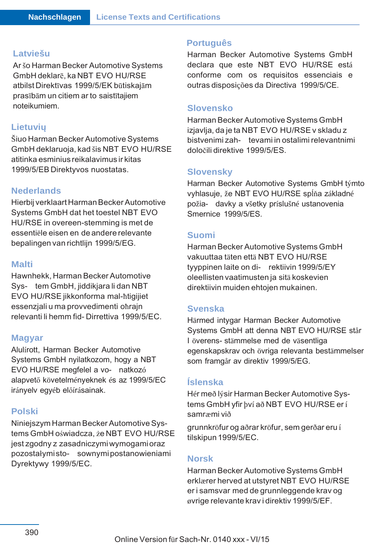#### **Latviešu**

Ar šo Harman Becker Automotive Systems GmbH deklarē, ka NBT EVO HU/RSE atbilst Direktīvas 1999/5/EK būtiskajām prasībām un citiem ar to saistītajiem noteikumiem.

#### **Lietuvių**

Šiuo Harman Becker Automotive Systems GmbH deklaruoja, kad šis NBT EVO HU/RSE atitinka esminius reikalavimus ir kitas 1999/5/EB Direktyvos nuostatas.

#### **Nederlands**

Hierbij verklaart Harman Becker Automotive Systems GmbH dat het toestel NBT EVO HU/RSE in overeen-stemming is met de essentiële eisen en de andere relevante bepalingen van richtlijn 1999/5/EG.

#### **Malti**

Hawnhekk, Harman Becker Automotive Sys‐ tem GmbH, jiddikjara li dan NBT EVO HU/RSE jikkonforma mal-ħtigijiet essenzjali u ma provvedimenti oħrajn relevanti li hemm fid- Dirrettiva 1999/5/EC.

#### **Magyar**

Alulírott, Harman Becker Automotive Systems GmbH nyilatkozom, hogy a NBT EVO HU/RSE megfelel a vo‐ natkozó alapvető követelményeknek és az 1999/5/EC irányelv egyéb előírásainak.

#### **Polski**

Niniejszym Harman Becker Automotive Sys‐ tems GmbH oświadcza, że NBT EVO HU/RSE jest zgodny z zasadniczymi wymogami oraz pozostałymi sto‐ sownymi postanowieniami Dyrektywy 1999/5/EC.

#### **Português**

Harman Becker Automotive Systems GmbH declara que este NBT EVO HU/RSE está conforme com os requisitos essenciais e outras disposições da Directiva 1999/5/CE.

#### **Slovensko**

Harman Becker Automotive Systems GmbH izjavlja, da je ta NBT EVO HU/RSE v skladu z bistvenimi zah‐ tevami in ostalimi relevantnimi določili direktive 1999/5/ES.

#### **Slovensky**

Harman Becker Automotive Systems GmbH týmto vyhlasuje, že NBT EVO HU/RSE spĺňa základné požia‐ davky a všetky príslušné ustanovenia Smernice 1999/5/ES.

#### **Suomi**

Harman Becker Automotive Systems GmbH vakuuttaa täten että NBT EVO HU/RSE tyyppinen laite on di‐ rektiivin 1999/5/EY oleellisten vaatimusten ja sitä koskevien direktiivin muiden ehtojen mukainen.

#### **Svenska**

Härmed intygar Harman Becker Automotive Systems GmbH att denna NBT EVO HU/RSE står I överens- stämmelse med de väsentliga egenskapskrav och övriga relevanta bestämmelser som framgår av direktiv 1999/5/EG.

### **Íslenska**

Hér með lýsir Harman Becker Automotive Sys‐ tems GmbH yfir því að NBT EVO HU/RSE er í samræmi við

grunnkröfur og aðrar kröfur, sem gerðar eru í tilskipun 1999/5/EC.

#### **Norsk**

Harman Becker Automotive Systems GmbH erklærer herved at utstyret NBT EVO HU/RSE er i samsvar med de grunnleggende krav og øvrige relevante krav i direktiv 1999/5/EF.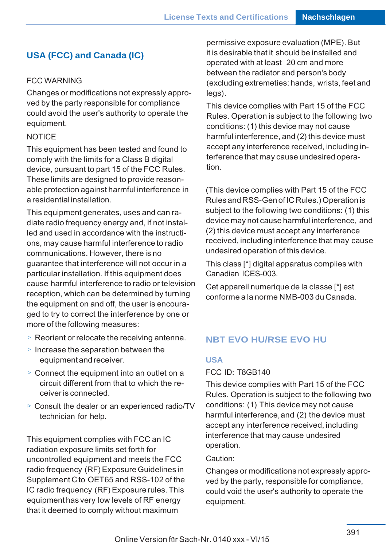# **USA (FCC) and Canada (IC)**

#### FCC WARNING

Changes or modifications not expressly approved by the party responsible for compliance could avoid the user's authority to operate the equipment.

#### **NOTICE**

This equipment has been tested and found to comply with the limits for a Class B digital device, pursuant to part 15 of the FCC Rules. These limits are designed to provide reason‐ able protection against harmful interference in a residential installation.

This equipment generates, uses and can ra‐ diate radio frequency energy and, if not instal‐ led and used in accordance with the instructi‐ ons, may cause harmful interference to radio communications. However, there is no guarantee that interference will not occur in a particular installation. If this equipment does cause harmful interference to radio or television reception, which can be determined by turning the equipment on and off, the user is encoura‐ ged to try to correct the interference by one or more of the following measures:

- $\triangleright$  Reorient or relocate the receiving antenna.
- $\triangleright$  Increase the separation between the equipment and receiver.
- $\triangleright$  Connect the equipment into an outlet on a circuit different from that to which the re‐ ceiver is connected.
- ▷ Consult the dealer or an experienced radio/TV technician for help.

This equipment complies with FCC an IC radiation exposure limits set forth for uncontrolled equipment and meets the FCC radio frequency (RF) Exposure Guidelines in Supplement C to OET65 and RSS-102 of the IC radio frequency (RF) Exposure rules. This equipment has very low levels of RF energy that it deemed to comply without maximum

permissive exposure evaluation (MPE). But it is desirable that it should be installed and operated with at least 20 cm and more between the radiator and person's body (excluding extremeties: hands, wrists, feet and legs).

This device complies with Part 15 of the FCC Rules. Operation is subject to the following two conditions: (1) this device may not cause harmful interference, and (2) this device must accept any interference received, including in‐ terference that may cause undesired opera‐ tion.

(This device complies with Part 15 of the FCC Rules and RSS-Gen of IC Rules.) Operation is subject to the following two conditions: (1) this device may not cause harmful interference, and (2) this device must accept any interference received, including interference that may cause undesired operation of this device.

This class [\*] digital apparatus complies with Canadian ICES-003.

Cet appareil numerique de la classe [\*] est conforme a la norme NMB-003 du Canada.

#### **NBT EVO HU/RSE EVO HU**

#### **USA**

#### FCC ID: T8GB140

This device complies with Part 15 of the FCC Rules. Operation is subject to the following two conditions: (1) This device may not cause harmful interference, and (2) the device must accept any interference received, including interference that may cause undesired operation.

#### Caution:

Changes or modifications not expressly appro‐ ved by the party, responsible for compliance, could void the user's authority to operate the equipment.